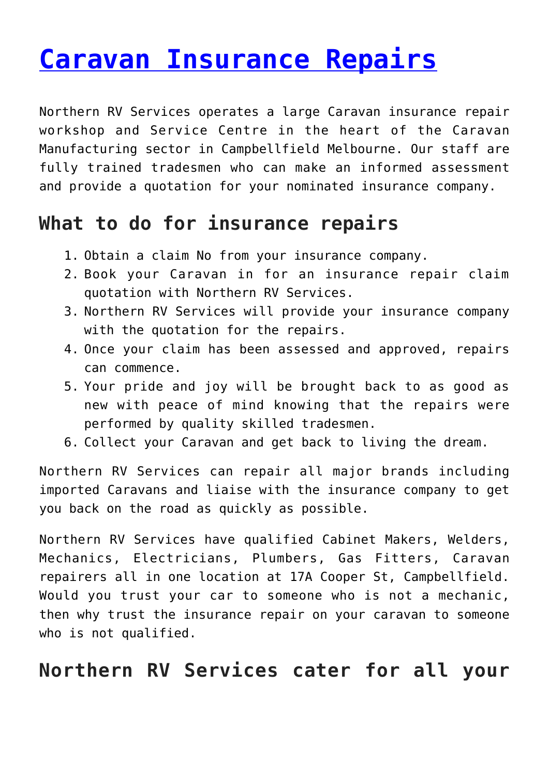## **[Caravan Insurance Repairs](https://www.northernrv.com.au/caravan-insurance-repairs/)**

Northern RV Services operates a large Caravan insurance repair workshop and Service Centre in the heart of the Caravan Manufacturing sector in Campbellfield Melbourne. Our staff are fully trained tradesmen who can make an informed assessment and provide a quotation for your nominated insurance company.

## **What to do for insurance repairs**

- 1. Obtain a claim No from your insurance company.
- 2. Book your Caravan in for an insurance repair claim quotation with Northern RV Services.
- 3. Northern RV Services will provide your insurance company with the quotation for the repairs.
- 4. Once your claim has been assessed and approved, repairs can commence.
- 5. Your pride and joy will be brought back to as good as new with peace of mind knowing that the repairs were performed by quality skilled tradesmen.
- 6. Collect your Caravan and get back to living the dream.

Northern RV Services can repair all major brands including imported Caravans and liaise with the insurance company to get you back on the road as quickly as possible.

Northern RV Services have qualified Cabinet Makers, Welders, Mechanics, Electricians, Plumbers, Gas Fitters, Caravan repairers all in one location at 17A Cooper St, Campbellfield. Would you trust your car to someone who is not a mechanic, then why trust the insurance repair on your caravan to someone who is not qualified.

## **Northern RV Services cater for all your**